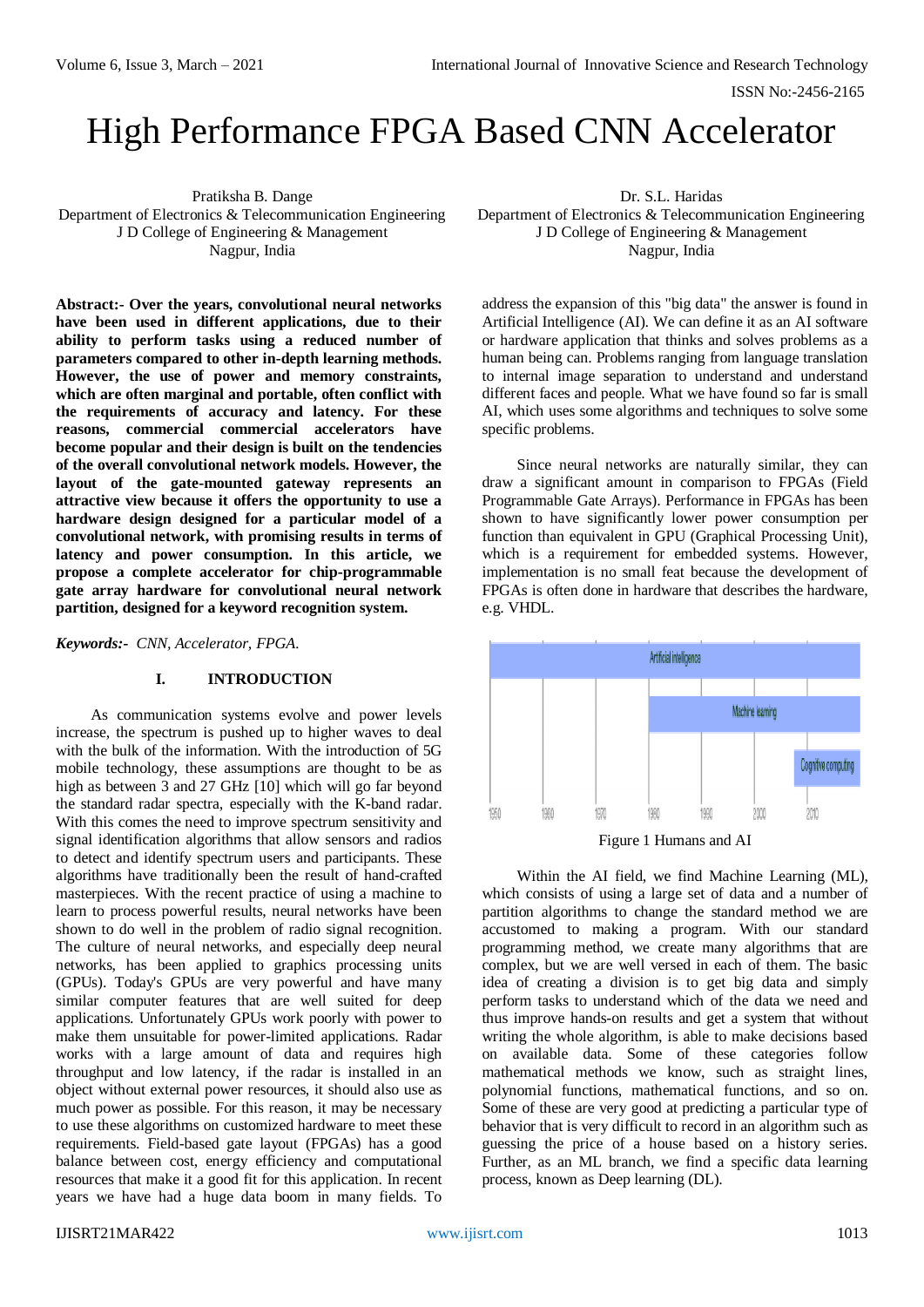ISSN No:-2456-2165

# High Performance FPGA Based CNN Accelerator

Pratiksha B. Dange Department of Electronics & Telecommunication Engineering J D College of Engineering & Management Nagpur, India

**Abstract:- Over the years, convolutional neural networks have been used in different applications, due to their ability to perform tasks using a reduced number of parameters compared to other in-depth learning methods. However, the use of power and memory constraints, which are often marginal and portable, often conflict with the requirements of accuracy and latency. For these reasons, commercial commercial accelerators have become popular and their design is built on the tendencies of the overall convolutional network models. However, the layout of the gate-mounted gateway represents an attractive view because it offers the opportunity to use a hardware design designed for a particular model of a convolutional network, with promising results in terms of latency and power consumption. In this article, we propose a complete accelerator for chip-programmable gate array hardware for convolutional neural network partition, designed for a keyword recognition system.**

*Keywords:- CNN, Accelerator, FPGA.*

#### **I. INTRODUCTION**

As communication systems evolve and power levels increase, the spectrum is pushed up to higher waves to deal with the bulk of the information. With the introduction of 5G mobile technology, these assumptions are thought to be as high as between 3 and 27 GHz [10] which will go far beyond the standard radar spectra, especially with the K-band radar. With this comes the need to improve spectrum sensitivity and signal identification algorithms that allow sensors and radios to detect and identify spectrum users and participants. These algorithms have traditionally been the result of hand-crafted masterpieces. With the recent practice of using a machine to learn to process powerful results, neural networks have been shown to do well in the problem of radio signal recognition. The culture of neural networks, and especially deep neural networks, has been applied to graphics processing units (GPUs). Today's GPUs are very powerful and have many similar computer features that are well suited for deep applications. Unfortunately GPUs work poorly with power to make them unsuitable for power-limited applications. Radar works with a large amount of data and requires high throughput and low latency, if the radar is installed in an object without external power resources, it should also use as much power as possible. For this reason, it may be necessary to use these algorithms on customized hardware to meet these requirements. Field-based gate layout (FPGAs) has a good balance between cost, energy efficiency and computational resources that make it a good fit for this application. In recent years we have had a huge data boom in many fields. To

Dr. S.L. Haridas Department of Electronics & Telecommunication Engineering J D College of Engineering & Management Nagpur, India

address the expansion of this "big data" the answer is found in Artificial Intelligence (AI). We can define it as an AI software or hardware application that thinks and solves problems as a human being can. Problems ranging from language translation to internal image separation to understand and understand different faces and people. What we have found so far is small AI, which uses some algorithms and techniques to solve some specific problems.

Since neural networks are naturally similar, they can draw a significant amount in comparison to FPGAs (Field Programmable Gate Arrays). Performance in FPGAs has been shown to have significantly lower power consumption per function than equivalent in GPU (Graphical Processing Unit), which is a requirement for embedded systems. However, implementation is no small feat because the development of FPGAs is often done in hardware that describes the hardware, e.g. VHDL.



Within the AI field, we find Machine Learning (ML), which consists of using a large set of data and a number of partition algorithms to change the standard method we are accustomed to making a program. With our standard programming method, we create many algorithms that are complex, but we are well versed in each of them. The basic idea of creating a division is to get big data and simply perform tasks to understand which of the data we need and thus improve hands-on results and get a system that without writing the whole algorithm, is able to make decisions based on available data. Some of these categories follow mathematical methods we know, such as straight lines, polynomial functions, mathematical functions, and so on. Some of these are very good at predicting a particular type of behavior that is very difficult to record in an algorithm such as guessing the price of a house based on a history series. Further, as an ML branch, we find a specific data learning process, known as Deep learning (DL).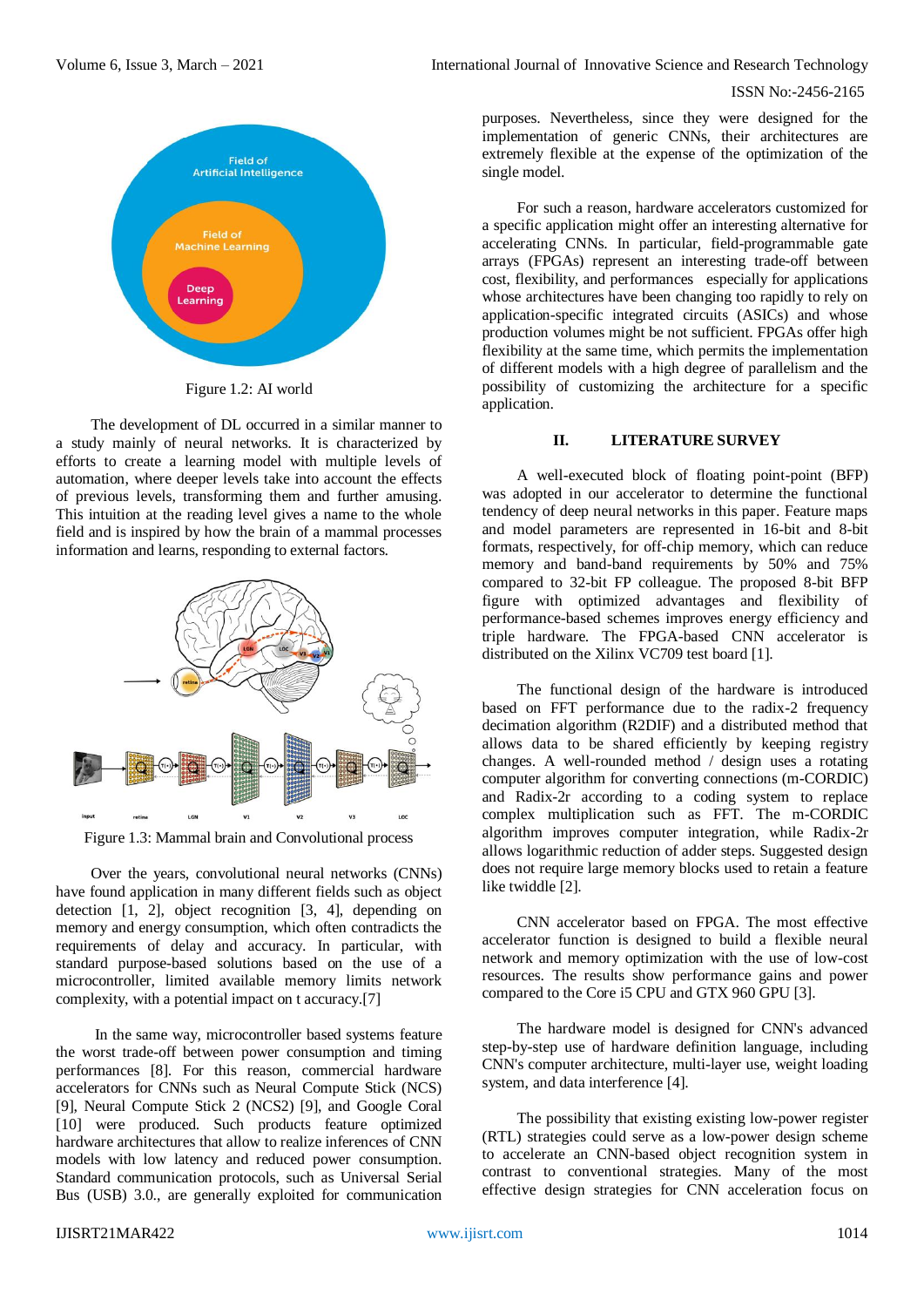Volume 6, Issue 3, March – 2021 **International Journal of Innovative Science and Research Technology** 

#### ISSN No:-2456-2165



Figure 1.2: AI world

The development of DL occurred in a similar manner to a study mainly of neural networks. It is characterized by efforts to create a learning model with multiple levels of automation, where deeper levels take into account the effects of previous levels, transforming them and further amusing. This intuition at the reading level gives a name to the whole field and is inspired by how the brain of a mammal processes information and learns, responding to external factors.



Figure 1.3: Mammal brain and Convolutional process

Over the years, convolutional neural networks (CNNs) have found application in many different fields such as object detection  $[1, 2]$ , object recognition  $[3, 4]$ , depending on memory and energy consumption, which often contradicts the requirements of delay and accuracy. In particular, with standard purpose-based solutions based on the use of a microcontroller, limited available memory limits network complexity, with a potential impact on t accuracy.[7]

In the same way, microcontroller based systems feature the worst trade-off between power consumption and timing performances [8]. For this reason, commercial hardware accelerators for CNNs such as Neural Compute Stick (NCS) [9], Neural Compute Stick 2 (NCS2) [9], and Google Coral [10] were produced. Such products feature optimized hardware architectures that allow to realize inferences of CNN models with low latency and reduced power consumption. Standard communication protocols, such as Universal Serial Bus (USB) 3.0., are generally exploited for communication

purposes. Nevertheless, since they were designed for the implementation of generic CNNs, their architectures are extremely flexible at the expense of the optimization of the single model.

For such a reason, hardware accelerators customized for a specific application might offer an interesting alternative for accelerating CNNs. In particular, field-programmable gate arrays (FPGAs) represent an interesting trade-off between cost, flexibility, and performances especially for applications whose architectures have been changing too rapidly to rely on application-specific integrated circuits (ASICs) and whose production volumes might be not sufficient. FPGAs offer high flexibility at the same time, which permits the implementation of different models with a high degree of parallelism and the possibility of customizing the architecture for a specific application.

#### **II. LITERATURE SURVEY**

A well-executed block of floating point-point (BFP) was adopted in our accelerator to determine the functional tendency of deep neural networks in this paper. Feature maps and model parameters are represented in 16-bit and 8-bit formats, respectively, for off-chip memory, which can reduce memory and band-band requirements by 50% and 75% compared to 32-bit FP colleague. The proposed 8-bit BFP figure with optimized advantages and flexibility of performance-based schemes improves energy efficiency and triple hardware. The FPGA-based CNN accelerator is distributed on the Xilinx VC709 test board [1].

The functional design of the hardware is introduced based on FFT performance due to the radix-2 frequency decimation algorithm (R2DIF) and a distributed method that allows data to be shared efficiently by keeping registry changes. A well-rounded method / design uses a rotating computer algorithm for converting connections (m-CORDIC) and Radix-2r according to a coding system to replace complex multiplication such as FFT. The m-CORDIC algorithm improves computer integration, while Radix-2r allows logarithmic reduction of adder steps. Suggested design does not require large memory blocks used to retain a feature like twiddle [2].

CNN accelerator based on FPGA. The most effective accelerator function is designed to build a flexible neural network and memory optimization with the use of low-cost resources. The results show performance gains and power compared to the Core i5 CPU and GTX 960 GPU [3].

The hardware model is designed for CNN's advanced step-by-step use of hardware definition language, including CNN's computer architecture, multi-layer use, weight loading system, and data interference [4].

The possibility that existing existing low-power register (RTL) strategies could serve as a low-power design scheme to accelerate an CNN-based object recognition system in contrast to conventional strategies. Many of the most effective design strategies for CNN acceleration focus on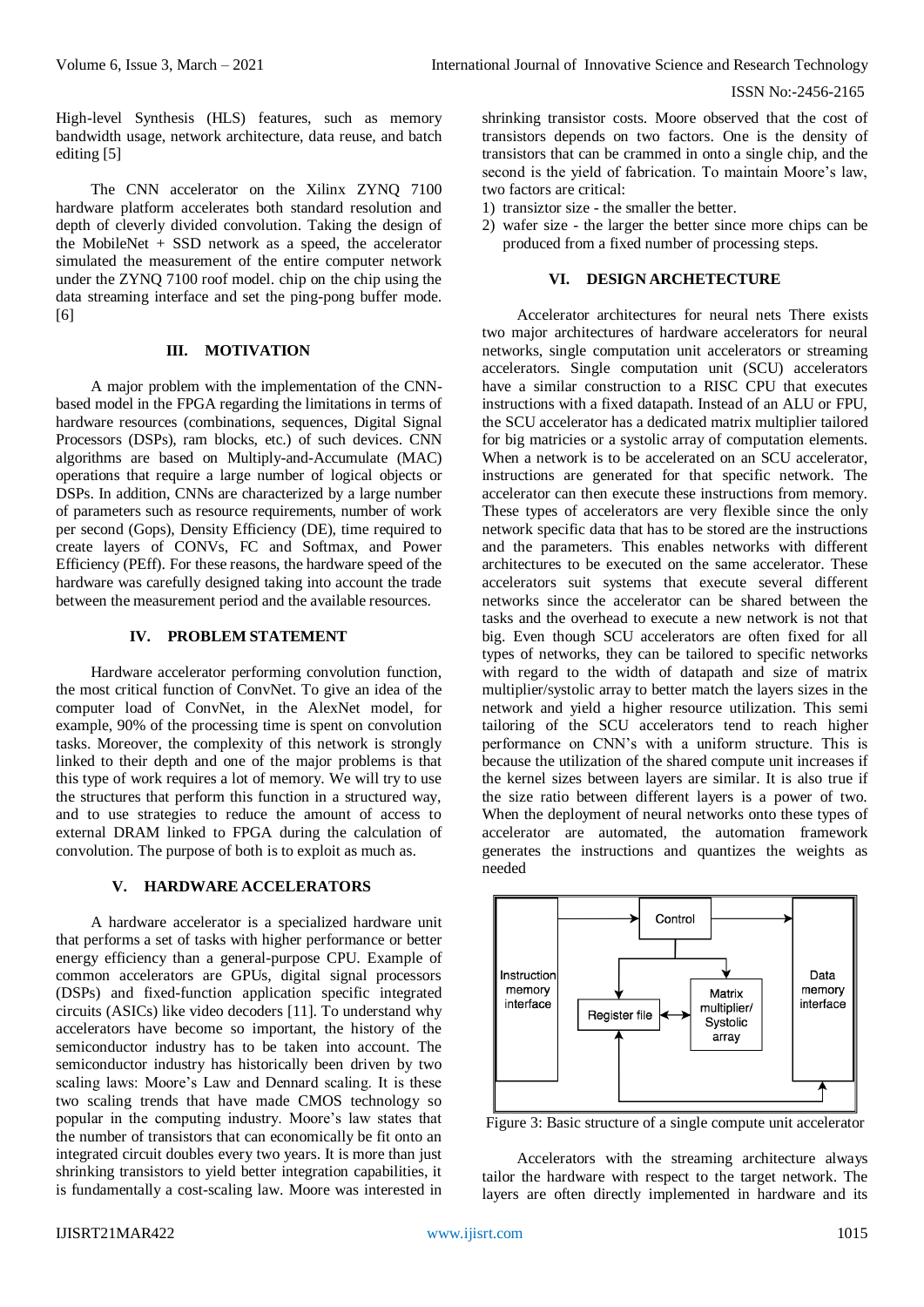ISSN No:-2456-2165

High-level Synthesis (HLS) features, such as memory bandwidth usage, network architecture, data reuse, and batch editing [5]

The CNN accelerator on the Xilinx ZYNQ 7100 hardware platform accelerates both standard resolution and depth of cleverly divided convolution. Taking the design of the MobileNet + SSD network as a speed, the accelerator simulated the measurement of the entire computer network under the ZYNQ 7100 roof model. chip on the chip using the data streaming interface and set the ping-pong buffer mode. [6]

# **III. MOTIVATION**

A major problem with the implementation of the CNNbased model in the FPGA regarding the limitations in terms of hardware resources (combinations, sequences, Digital Signal Processors (DSPs), ram blocks, etc.) of such devices. CNN algorithms are based on Multiply-and-Accumulate (MAC) operations that require a large number of logical objects or DSPs. In addition, CNNs are characterized by a large number of parameters such as resource requirements, number of work per second (Gops), Density Efficiency (DE), time required to create layers of CONVs, FC and Softmax, and Power Efficiency (PEff). For these reasons, the hardware speed of the hardware was carefully designed taking into account the trade between the measurement period and the available resources.

#### **IV. PROBLEM STATEMENT**

Hardware accelerator performing convolution function, the most critical function of ConvNet. To give an idea of the computer load of ConvNet, in the AlexNet model, for example, 90% of the processing time is spent on convolution tasks. Moreover, the complexity of this network is strongly linked to their depth and one of the major problems is that this type of work requires a lot of memory. We will try to use the structures that perform this function in a structured way, and to use strategies to reduce the amount of access to external DRAM linked to FPGA during the calculation of convolution. The purpose of both is to exploit as much as.

## **V. HARDWARE ACCELERATORS**

A hardware accelerator is a specialized hardware unit that performs a set of tasks with higher performance or better energy efficiency than a general-purpose CPU. Example of common accelerators are GPUs, digital signal processors (DSPs) and fixed-function application specific integrated circuits (ASICs) like video decoders [11]. To understand why accelerators have become so important, the history of the semiconductor industry has to be taken into account. The semiconductor industry has historically been driven by two scaling laws: Moore's Law and Dennard scaling. It is these two scaling trends that have made CMOS technology so popular in the computing industry. Moore's law states that the number of transistors that can economically be fit onto an integrated circuit doubles every two years. It is more than just shrinking transistors to yield better integration capabilities, it is fundamentally a cost-scaling law. Moore was interested in

shrinking transistor costs. Moore observed that the cost of transistors depends on two factors. One is the density of transistors that can be crammed in onto a single chip, and the second is the yield of fabrication. To maintain Moore's law, two factors are critical:

- 1) transiztor size the smaller the better.
- 2) wafer size the larger the better since more chips can be produced from a fixed number of processing steps.

# **VI. DESIGN ARCHETECTURE**

Accelerator architectures for neural nets There exists two major architectures of hardware accelerators for neural networks, single computation unit accelerators or streaming accelerators. Single computation unit (SCU) accelerators have a similar construction to a RISC CPU that executes instructions with a fixed datapath. Instead of an ALU or FPU, the SCU accelerator has a dedicated matrix multiplier tailored for big matricies or a systolic array of computation elements. When a network is to be accelerated on an SCU accelerator, instructions are generated for that specific network. The accelerator can then execute these instructions from memory. These types of accelerators are very flexible since the only network specific data that has to be stored are the instructions and the parameters. This enables networks with different architectures to be executed on the same accelerator. These accelerators suit systems that execute several different networks since the accelerator can be shared between the tasks and the overhead to execute a new network is not that big. Even though SCU accelerators are often fixed for all types of networks, they can be tailored to specific networks with regard to the width of datapath and size of matrix multiplier/systolic array to better match the layers sizes in the network and yield a higher resource utilization. This semi tailoring of the SCU accelerators tend to reach higher performance on CNN's with a uniform structure. This is because the utilization of the shared compute unit increases if the kernel sizes between layers are similar. It is also true if the size ratio between different layers is a power of two. When the deployment of neural networks onto these types of accelerator are automated, the automation framework generates the instructions and quantizes the weights as needed



Figure 3: Basic structure of a single compute unit accelerator

Accelerators with the streaming architecture always tailor the hardware with respect to the target network. The layers are often directly implemented in hardware and its